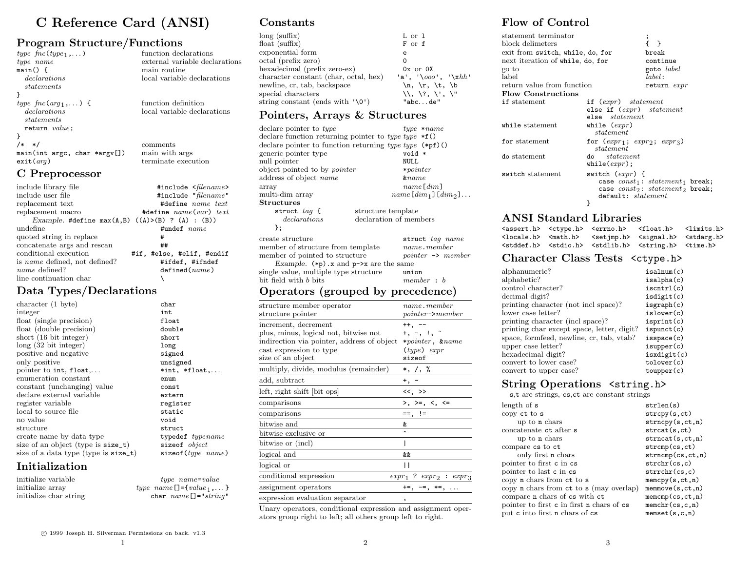## C Reference Card (ANSI)

### Program Structure/Functions

| type $\mathit{fnc(type}_1, \ldots)$                           | function declarations          |
|---------------------------------------------------------------|--------------------------------|
| type name                                                     | external variable declarations |
| main() f                                                      | main routine                   |
| <i>declarations</i>                                           | local variable declarations    |
| statements                                                    |                                |
|                                                               |                                |
| type $\mathit{fnc}(\mathit{arg}_1,\dots)$ {                   | function definition            |
| <i>declarations</i>                                           | local variable declarations    |
| statements                                                    |                                |
| return value;                                                 |                                |
|                                                               |                                |
| $/* * /$                                                      | comments                       |
| $main(int \, \text{argc}, \, \text{char} \, \text{*argv}$ []) | main with args                 |
| ext(arg)                                                      | terminate execution            |
| C Preprocessor                                                |                                |

#### $\begin{minipage}{.4\linewidth} \includegraphics[width=0.45\textwidth]{figures/h} \includegraphics[width=0.45\textwidth]{figures/h} \includegraphics[width=0.45\textwidth]{figures/h} \includegraphics[width=0.45\textwidth]{figures/h} \includegraphics[width=0.45\textwidth]{figures/h} \includegraphics[width=0.45\textwidth]{figures/h} \includegraphics[width=0.45\textwidth]{figures/h} \includegraphics[width=0.45\textwidth]{figures/h} \includegraphics[width=0.45\textwidth]{figures/h} \includegraphics[width=0.45\textwidth]{figures/h} \includegraphics[width=0.45\textwidth]{figures/h} \includegraphics[width=0.45\textwidth]{figures/h} \includegraphics[$ include user file<br>  $\begin{array}{ccc}\n\text{include} & \text{#include } & \text{#include } & \text{name } \text{text} \\
\text{replacement text} & \text{#define } & \text{name } text\n\end{array}$ replacement text  $\begin{array}{ccc}\n\text{#define} & name \text{ text} \\
\text{replacement macro} & \text{#define} \text{ name} \text{ (var)} \text{ } text\n\end{array}$ #define  $name(var) text$ Example. #define  $max(A, B)$  ((A)>(B) ? (A) : (B)) undefine  $\ddot{\mathbf{H}}$ undef  $name$ quoted string in replace  $\#$ concatenate args and rescan ## conditional execution #if, #else, #elif, #endif is name defined, not defined?  $#ifdef, #ifndef name defined?$   $defined(name)$  $defined(name)$ line continuation char  $\setminus$

## Data Types/Declarations

| char                    |
|-------------------------|
| int                     |
| float                   |
| double                  |
| short                   |
| long                    |
| signed                  |
| unsigned                |
| $*int, *float, \ldots$  |
| enum                    |
| const                   |
| extern                  |
| register                |
| static                  |
| void                    |
| struct                  |
| typedef typename        |
| size of object          |
| $size of (type \ name)$ |
|                         |

## Initialization

initialize variable type name=value

initialize array type  $name[] = {value_1, ...}$ <br>initialize char string  $char name[] = "string"$ char  $name[]="string"$ 

#### Constants

| $long$ (suffix)<br>float $(suffix)$   | L or 1<br>F or f                                                |
|---------------------------------------|-----------------------------------------------------------------|
| exponential form                      | e                                                               |
| octal (prefix zero)                   | 0                                                               |
| hexadecimal (prefix zero-ex)          | $0x$ or $0x$                                                    |
| character constant (char, octal, hex) | 'a', '\ooo', '\xhh'                                             |
| newline, cr. tab, backspace           | $\n\langle n, \langle r, \langle t, \langle b \rangle \rangle\$ |
| special characters                    | \\\, \?, \', \"                                                 |
| string constant (ends with $'\0'$ )   | "abcde"                                                         |

#### Pointers, Arrays & Structures

| declare pointer to type<br>declare function returning pointer to type $\ast$ <b>f</b> ()<br>declare pointer to function returning type $(ype \ (\ast pf)$ ()<br>generic pointer type<br>null pointer<br>object pointed to by <i>pointer</i> | $type \; *name$<br>void *<br>NULL<br>$* pointer$                                          |
|---------------------------------------------------------------------------------------------------------------------------------------------------------------------------------------------------------------------------------------------|-------------------------------------------------------------------------------------------|
| address of object name                                                                                                                                                                                                                      | $\&name$                                                                                  |
| array<br>multi-dim arrav<br>${\rm Structures}$                                                                                                                                                                                              | name[dim]<br>$name[dim_1][dim_2] \dots$                                                   |
| structure template<br>struct $taq \{$                                                                                                                                                                                                       |                                                                                           |
| declarations<br>declaration of members<br>};                                                                                                                                                                                                |                                                                                           |
| create structure<br>member of structure from template<br>member of pointed to structure<br>Example. $(*p)$ . x and $p$ ->x are the same<br>single value, multiple type structure                                                            | struct tag name<br>name.member<br>$\textit{pointer} \rightarrow \textit{member}$<br>union |
| $\rm{bit}$ field with $b$ $\rm{bits}$                                                                                                                                                                                                       | member : b                                                                                |
| $\Omega$ $(11$                                                                                                                                                                                                                              |                                                                                           |

#### Operators (grouped by precedence)

| structure member operator                                                                                                       | name.member                             |
|---------------------------------------------------------------------------------------------------------------------------------|-----------------------------------------|
| structure pointer                                                                                                               | $pointer$ $\rightarrow$ member          |
| increment, decrement                                                                                                            | $^{++}$ . $-$                           |
| plus, minus, logical not, bitwise not                                                                                           | $+$ , $-$ , $\frac{1}{2}$ , $\tilde{a}$ |
| indirection via pointer, address of object                                                                                      | $*{pointer, \; \; \text{wname}}$        |
| cast expression to type                                                                                                         | $(type)$ expr                           |
| size of an object                                                                                                               | sizeof                                  |
| multiply, divide, modulus (remainder)                                                                                           | *, /, %                                 |
| add, subtract                                                                                                                   | $+, -$                                  |
| left, right shift bit ops                                                                                                       | <<, >>                                  |
| comparisons                                                                                                                     | $>$ , $>$ =, <, <=                      |
| comparisons                                                                                                                     | $==, \cdot ==$                          |
| bitwise and                                                                                                                     | &.                                      |
| bitwise exclusive or                                                                                                            |                                         |
| bitwise or (incl)                                                                                                               |                                         |
| logical and                                                                                                                     | &&                                      |
| logical or                                                                                                                      | Ħ                                       |
| conditional expression                                                                                                          | $expr_1$ ? $expr_2$ : $expr_3$          |
| assignment operators                                                                                                            | $+=, -=, *=, $                          |
| expression evaluation separator                                                                                                 | ,                                       |
| $\mathbf{v}$<br>the contract of the contract of the contract of the contract of the contract of the contract of the contract of | $\mathbf{v}$                            |

Unary operators, conditional expression and assignment operators group right to left; all others group left to right.

### Flow of Control

| statement terminator<br>block delimeters<br>exit from switch, while, do, for<br>next iteration of while, do, for<br>go to |                                                                     | $\cdot$<br>$\rightarrow$<br>break<br>continue<br>goto label                    |
|---------------------------------------------------------------------------------------------------------------------------|---------------------------------------------------------------------|--------------------------------------------------------------------------------|
| label                                                                                                                     |                                                                     | $label:right}$ :                                                               |
| return value from function                                                                                                |                                                                     | return expr                                                                    |
| <b>Flow Constructions</b>                                                                                                 |                                                                     |                                                                                |
| if statement                                                                                                              | if $(expr)$ statement<br>else if (expr) statement<br>else statement |                                                                                |
| while statement                                                                                                           | while $(expr)$<br>statement                                         |                                                                                |
| for statement                                                                                                             | for $(exp_1; exp_2; exp_3)$<br>statement                            |                                                                                |
| do statement                                                                                                              | do <i>statement</i><br>while( $expr$ );                             |                                                                                |
| switch statement                                                                                                          | switch $(exp)$ {<br>default: statement<br>}                         | case $const_1$ : $statement_1$ break;<br>case $const_2$ : $statement_2$ break; |

#### ANSI Standard Libraries

|  | <assert.h> <ctype.h> <errno.h> <float.h> <limits.h></limits.h></float.h></errno.h></ctype.h></assert.h>   |  |
|--|-----------------------------------------------------------------------------------------------------------|--|
|  | <locale.h> <math.h> <setjmp.h> <signal.h> <stdarg.h></stdarg.h></signal.h></setjmp.h></math.h></locale.h> |  |
|  | <stddef.h> <stdio.h> <stdlib.h> <string.h> <time.h></time.h></string.h></stdlib.h></stdio.h></stddef.h>   |  |

#### Character Class Tests <ctype.h>

| alphanumeric?                              | isalnum(c)  |
|--------------------------------------------|-------------|
| alphabetic?                                | isalpha(c)  |
| control character?                         | iscntr1(c)  |
| decimal digit?                             | isdigit(c)  |
| printing character (not incl space)?       | isgraph(c)  |
| lower case letter?                         | islower(c)  |
| printing character (incl space)?           | isprint(c)  |
| printing char except space, letter, digit? | is punct(c) |
| space, formfeed, newline, cr, tab, vtab?   | isspace(c)  |
| upper case letter?                         | is upper(c) |
| hexadecimal digit?                         | isxdigit(c) |
| convert to lower case?                     | tolower(c)  |
| convert to upper case?                     | to upper(c) |
|                                            |             |

#### String Operations <string.h>

s,t are strings, cs,ct are constant strings

| length of s                                           | strlen(s)                      |
|-------------------------------------------------------|--------------------------------|
| copy ct to s                                          | stropy(s, ct)                  |
| up to <b>n</b> chars                                  | strnopy(s, ct, n)              |
| concatenate ct after s                                | strcat(s, ct)                  |
| up to <b>n</b> chars                                  | strncat(s, ct, n)              |
| compare cs to ct                                      | strcmp(cs, ct)                 |
| only first n chars                                    | strncmp(cs, ct, n)             |
| pointer to first c in cs                              | strchr(cs, c)                  |
| pointer to last c in cs                               | $\text{strrchr}(\text{cs}, c)$ |
| copy n chars from ct to s                             | memory(s, ct, n)               |
| copy <b>n</b> chars from ct to <b>s</b> (may overlap) | memmove(s, ct, n)              |
| compare <b>n</b> chars of cs with ct                  | memcmp(cs, ct, n)              |
| pointer to first c in first n chars of cs             | member(c, c, n)                |
| put c into first n chars of cs                        | menset(s,c,n)                  |